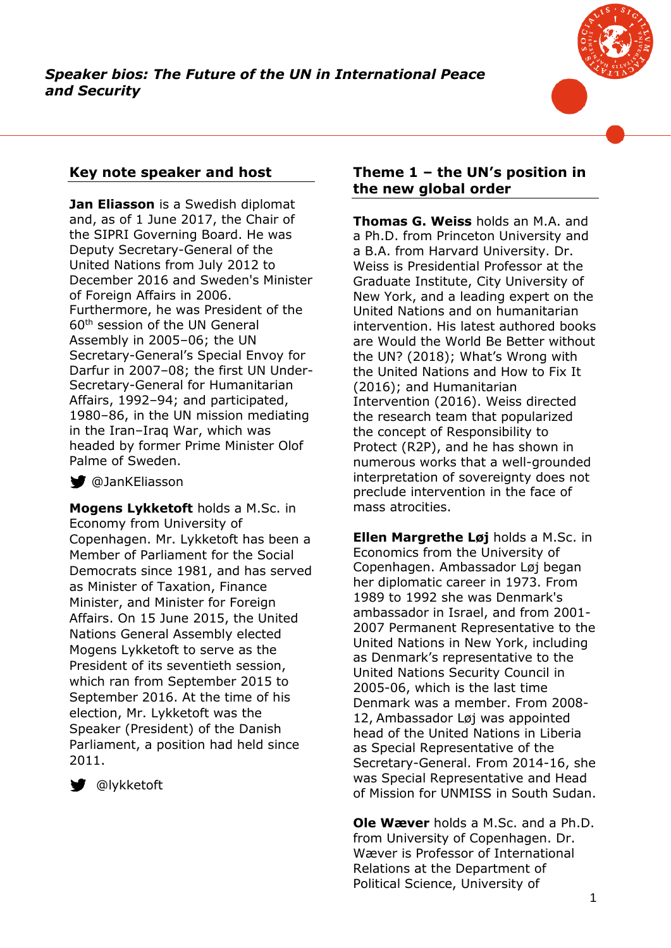

# **Key note speaker and host**

**Jan Eliasson** is a Swedish diplomat and, as of 1 June 2017, the Chair of the SIPRI Governing Board. He was Deputy Secretary-General of the United Nations from July 2012 to December 2016 and Sweden's Minister of Foreign Affairs in 2006. Furthermore, he was President of the 60<sup>th</sup> session of the UN General Assembly in 2005–06; the UN Secretary-General's Special Envoy for Darfur in 2007–08; the first UN Under-Secretary-General for Humanitarian Affairs, 1992–94; and participated, 1980–86, in the UN mission mediating in the Iran–Iraq War, which was headed by former Prime Minister Olof Palme of Sweden.

### **W** @JanKEliasson

**Mogens Lykketoft** holds a M.Sc. in Economy from University of Copenhagen. Mr. Lykketoft has been a Member of Parliament for the Social Democrats since 1981, and has served as Minister of Taxation, Finance Minister, and Minister for Foreign Affairs. On 15 June 2015, the United Nations General Assembly elected Mogens Lykketoft to serve as the President of its seventieth session, which ran from September 2015 to September 2016. At the time of his election, Mr. Lykketoft was the Speaker (President) of the Danish Parliament, a position had held since 2011.



**W** @lykketoft

## **Theme 1 – the UN's position in the new global order**

**Thomas G. Weiss** holds an M.A. and a Ph.D. from Princeton University and a B.A. from Harvard University. Dr. Weiss is Presidential Professor at the Graduate Institute, City University of New York, and a leading expert on the United Nations and on humanitarian intervention. His latest authored books are Would the World Be Better without the UN? (2018); What's Wrong with the United Nations and How to Fix It (2016); and Humanitarian Intervention (2016). Weiss directed the research team that popularized the concept of Responsibility to Protect (R2P), and he has shown in numerous works that a well-grounded interpretation of sovereignty does not preclude intervention in the face of mass atrocities.

**Ellen Margrethe Løj** holds a M.Sc. in Economics from the University of Copenhagen. Ambassador Løj began her diplomatic career in 1973. From 1989 to 1992 she was Denmark's ambassador in Israel, and from 2001- 2007 Permanent Representative to the United Nations in New York, including as Denmark's representative to the United Nations Security Council in 2005-06, which is the last time Denmark was a member. From 2008- 12, Ambassador Løj was appointed head of the United Nations in Liberia as Special Representative of the Secretary-General. From 2014-16, she was Special Representative and Head of Mission for UNMISS in South Sudan.

**Ole Wæver** holds a M.Sc. and a Ph.D. from University of Copenhagen. Dr. Wæver is Professor of International Relations at the Department of Political Science, University of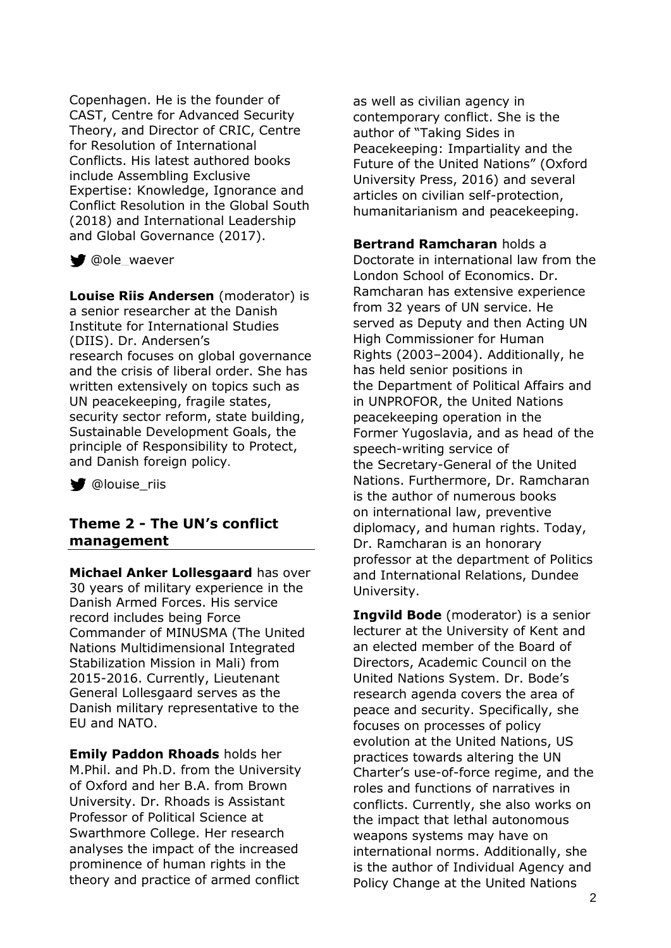Copenhagen. He is the founder of CAST, Centre for Advanced Security Theory, and Director of CRIC, Centre for Resolution of International Conflicts. His latest authored books include Assembling Exclusive Expertise: Knowledge, Ignorance and Conflict Resolution in the Global South (2018) and International Leadership and Global Governance (2017).

Oole\_waever

**Louise Riis Andersen** (moderator) is a senior researcher at the Danish Institute for International Studies (DIIS). Dr. Andersen's research focuses on global governance and the crisis of liberal order. She has written extensively on topics such as UN peacekeeping, fragile states, security sector reform, state building, Sustainable Development Goals, the principle of Responsibility to Protect, and Danish foreign policy.

**W** @louise\_riis

### **Theme 2 - The UN's conflict management**

**Michael Anker Lollesgaard** has over 30 years of military experience in the Danish Armed Forces. His service record includes being Force Commander of MINUSMA (The United Nations Multidimensional Integrated Stabilization Mission in Mali) from 2015-2016. Currently, Lieutenant General Lollesgaard serves as the Danish military representative to the EU and NATO.

**Emily Paddon Rhoads** holds her M.Phil. and Ph.D. from the University of Oxford and her B.A. from Brown University. Dr. Rhoads is Assistant Professor of Political Science at Swarthmore College. Her research analyses the impact of the increased prominence of human rights in the theory and practice of armed conflict

as well as civilian agency in contemporary conflict. She is the author of "Taking Sides in Peacekeeping: Impartiality and the Future of the United Nations" (Oxford University Press, 2016) and several articles on civilian self-protection, humanitarianism and peacekeeping.

**Bertrand Ramcharan** holds a Doctorate in international law from the London School of Economics. Dr. Ramcharan has extensive experience from 32 years of UN service. He served as Deputy and then Acting UN High Commissioner for Human Rights (2003–2004). Additionally, he has held senior positions in the Department of Political Affairs and in UNPROFOR, the United Nations peacekeeping operation in the Former Yugoslavia, and as head of the speech-writing service of the Secretary-General of the United Nations. Furthermore, Dr. Ramcharan is the author of numerous books on international law, preventive diplomacy, and human rights. Today, Dr. Ramcharan is an honorary professor at the department of Politics and International Relations, Dundee University.

**Ingvild Bode** (moderator) is a senior lecturer at the University of Kent and an elected member of the Board of Directors, Academic Council on the United Nations System. Dr. Bode's research agenda covers the area of peace and security. Specifically, she focuses on processes of policy evolution at the United Nations, US practices towards altering the UN Charter's use-of-force regime, and the roles and functions of narratives in conflicts. Currently, she also works on the impact that lethal autonomous weapons systems may have on international norms. Additionally, she is the author of Individual Agency and Policy Change at the United Nations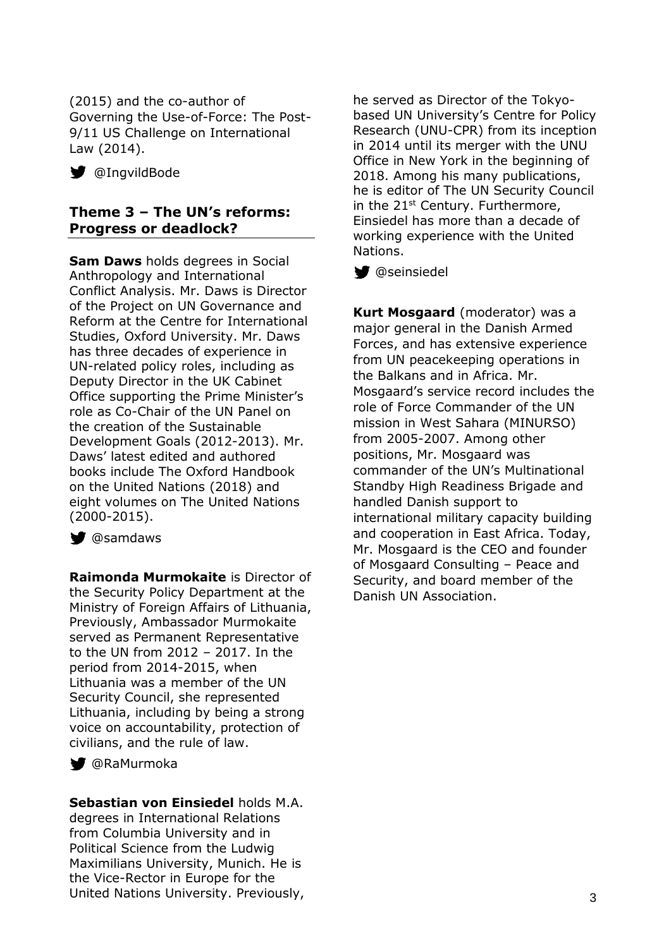(2015) and the co-author of Governing the Use-of-Force: The Post-9/11 US Challenge on International Law (2014).

**W** @IngvildBode

## **Theme 3 – The UN's reforms: Progress or deadlock?**

**Sam Daws** holds degrees in Social Anthropology and International Conflict Analysis. Mr. Daws is Director of the Project on UN Governance and Reform at the Centre for International Studies, Oxford University. Mr. Daws has three decades of experience in UN-related policy roles, including as Deputy Director in the UK Cabinet Office supporting the Prime Minister's role as Co-Chair of the UN Panel on the creation of the Sustainable Development Goals (2012-2013). Mr. Daws' latest edited and authored books include The Oxford Handbook on the United Nations (2018) and eight volumes on The United Nations (2000-2015).

**W** @samdaws

**Raimonda Murmokaite** is Director of the Security Policy Department at the Ministry of Foreign Affairs of Lithuania, Previously, Ambassador Murmokaite served as Permanent Representative to the UN from 2012 – 2017. In the period from 2014-2015, when Lithuania was a member of the UN Security Council, she represented Lithuania, including by being a strong voice on accountability, protection of civilians, and the rule of law.

@RaMurmoka

#### **Sebastian von Einsiedel** holds M.A.

degrees in International Relations from Columbia University and in Political Science from the Ludwig Maximilians University, Munich. He is the Vice-Rector in Europe for the United Nations University. Previously,

he served as Director of the Tokyobased UN University's Centre for Policy Research (UNU-CPR) from its inception in 2014 until its merger with the UNU Office in New York in the beginning of 2018. Among his many publications, he is editor of The UN Security Council in the 21<sup>st</sup> Century. Furthermore, Einsiedel has more than a decade of working experience with the United Nations.

**W** @seinsiedel

**Kurt Mosgaard** (moderator) was a major general in the Danish Armed Forces, and has extensive experience from UN peacekeeping operations in the Balkans and in Africa. Mr. Mosgaard's service record includes the role of Force Commander of the UN mission in West Sahara (MINURSO) from 2005-2007. Among other positions, Mr. Mosgaard was commander of the UN's Multinational Standby High Readiness Brigade and handled Danish support to international military capacity building and cooperation in East Africa. Today, Mr. Mosgaard is the CEO and founder of Mosgaard Consulting – Peace and Security, and board member of the Danish UN Association.